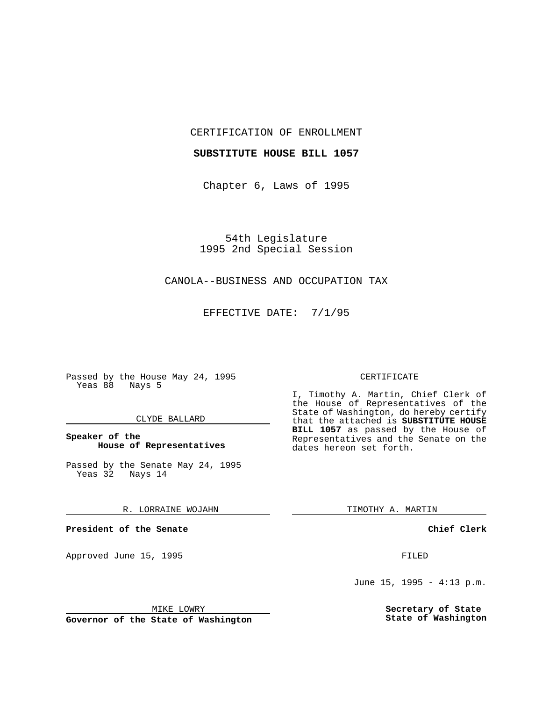CERTIFICATION OF ENROLLMENT

# **SUBSTITUTE HOUSE BILL 1057**

Chapter 6, Laws of 1995

54th Legislature 1995 2nd Special Session

# CANOLA--BUSINESS AND OCCUPATION TAX

EFFECTIVE DATE: 7/1/95

Passed by the House May 24, 1995 Yeas 88 Nays 5

## CLYDE BALLARD

# **Speaker of the House of Representatives**

Passed by the Senate May 24, 1995 Yeas 32 Nays 14

## R. LORRAINE WOJAHN

**President of the Senate**

Approved June 15, 1995 FILED

#### MIKE LOWRY

**Governor of the State of Washington**

#### CERTIFICATE

I, Timothy A. Martin, Chief Clerk of the House of Representatives of the State of Washington, do hereby certify that the attached is **SUBSTITUTE HOUSE BILL 1057** as passed by the House of Representatives and the Senate on the dates hereon set forth.

TIMOTHY A. MARTIN

## **Chief Clerk**

June 15, 1995 - 4:13 p.m.

**Secretary of State State of Washington**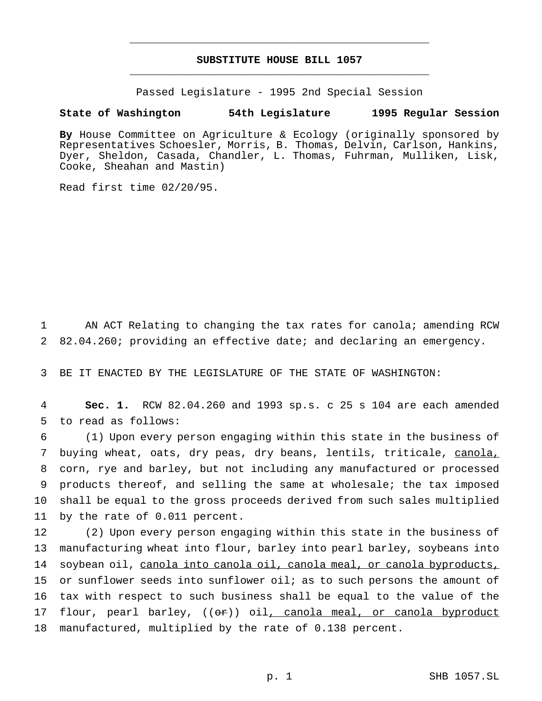# **SUBSTITUTE HOUSE BILL 1057** \_\_\_\_\_\_\_\_\_\_\_\_\_\_\_\_\_\_\_\_\_\_\_\_\_\_\_\_\_\_\_\_\_\_\_\_\_\_\_\_\_\_\_\_\_\_\_

\_\_\_\_\_\_\_\_\_\_\_\_\_\_\_\_\_\_\_\_\_\_\_\_\_\_\_\_\_\_\_\_\_\_\_\_\_\_\_\_\_\_\_\_\_\_\_

Passed Legislature - 1995 2nd Special Session

#### **State of Washington 54th Legislature 1995 Regular Session**

**By** House Committee on Agriculture & Ecology (originally sponsored by Representatives Schoesler, Morris, B. Thomas, Delvin, Carlson, Hankins, Dyer, Sheldon, Casada, Chandler, L. Thomas, Fuhrman, Mulliken, Lisk, Cooke, Sheahan and Mastin)

Read first time 02/20/95.

1 AN ACT Relating to changing the tax rates for canola; amending RCW 2 82.04.260; providing an effective date; and declaring an emergency.

3 BE IT ENACTED BY THE LEGISLATURE OF THE STATE OF WASHINGTON:

4 **Sec. 1.** RCW 82.04.260 and 1993 sp.s. c 25 s 104 are each amended 5 to read as follows:

 (1) Upon every person engaging within this state in the business of buying wheat, oats, dry peas, dry beans, lentils, triticale, canola, corn, rye and barley, but not including any manufactured or processed products thereof, and selling the same at wholesale; the tax imposed shall be equal to the gross proceeds derived from such sales multiplied by the rate of 0.011 percent.

 (2) Upon every person engaging within this state in the business of manufacturing wheat into flour, barley into pearl barley, soybeans into 14 soybean oil, canola into canola oil, canola meal, or canola byproducts, or sunflower seeds into sunflower oil; as to such persons the amount of tax with respect to such business shall be equal to the value of the 17 flour, pearl barley, ((or)) oil, canola meal, or canola byproduct manufactured, multiplied by the rate of 0.138 percent.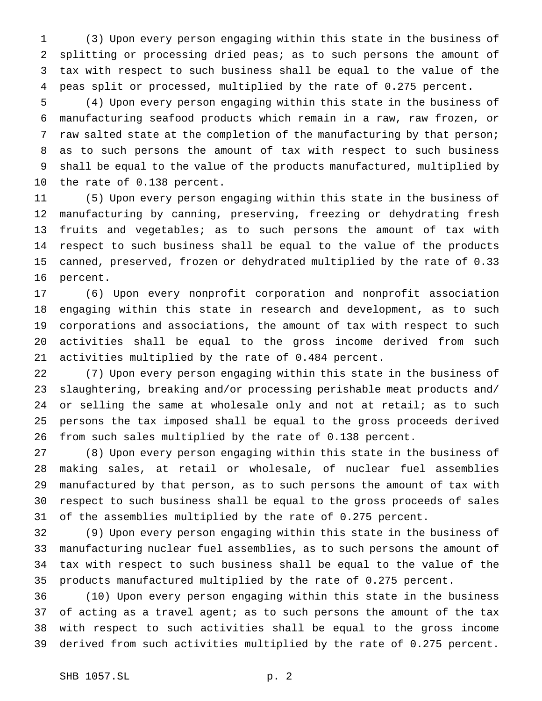(3) Upon every person engaging within this state in the business of splitting or processing dried peas; as to such persons the amount of tax with respect to such business shall be equal to the value of the peas split or processed, multiplied by the rate of 0.275 percent.

 (4) Upon every person engaging within this state in the business of manufacturing seafood products which remain in a raw, raw frozen, or raw salted state at the completion of the manufacturing by that person; as to such persons the amount of tax with respect to such business shall be equal to the value of the products manufactured, multiplied by the rate of 0.138 percent.

 (5) Upon every person engaging within this state in the business of manufacturing by canning, preserving, freezing or dehydrating fresh fruits and vegetables; as to such persons the amount of tax with respect to such business shall be equal to the value of the products canned, preserved, frozen or dehydrated multiplied by the rate of 0.33 percent.

 (6) Upon every nonprofit corporation and nonprofit association engaging within this state in research and development, as to such corporations and associations, the amount of tax with respect to such activities shall be equal to the gross income derived from such activities multiplied by the rate of 0.484 percent.

 (7) Upon every person engaging within this state in the business of slaughtering, breaking and/or processing perishable meat products and/ 24 or selling the same at wholesale only and not at retail; as to such persons the tax imposed shall be equal to the gross proceeds derived from such sales multiplied by the rate of 0.138 percent.

 (8) Upon every person engaging within this state in the business of making sales, at retail or wholesale, of nuclear fuel assemblies manufactured by that person, as to such persons the amount of tax with respect to such business shall be equal to the gross proceeds of sales of the assemblies multiplied by the rate of 0.275 percent.

 (9) Upon every person engaging within this state in the business of manufacturing nuclear fuel assemblies, as to such persons the amount of tax with respect to such business shall be equal to the value of the products manufactured multiplied by the rate of 0.275 percent.

 (10) Upon every person engaging within this state in the business of acting as a travel agent; as to such persons the amount of the tax with respect to such activities shall be equal to the gross income derived from such activities multiplied by the rate of 0.275 percent.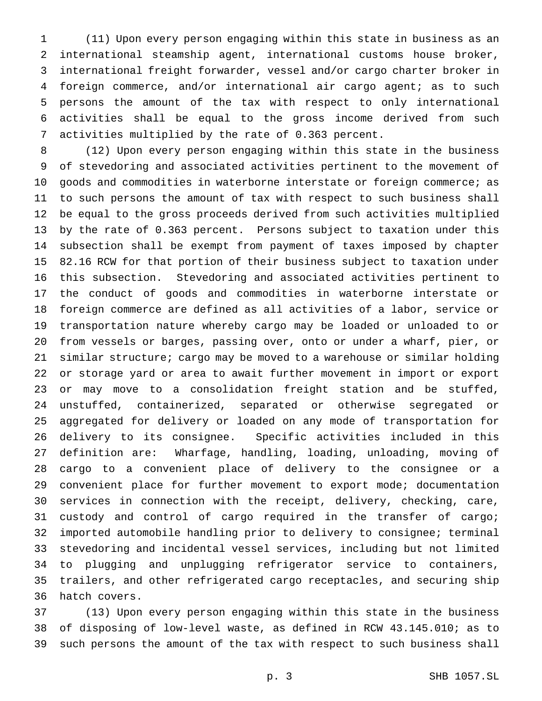(11) Upon every person engaging within this state in business as an international steamship agent, international customs house broker, international freight forwarder, vessel and/or cargo charter broker in foreign commerce, and/or international air cargo agent; as to such persons the amount of the tax with respect to only international activities shall be equal to the gross income derived from such activities multiplied by the rate of 0.363 percent.

 (12) Upon every person engaging within this state in the business of stevedoring and associated activities pertinent to the movement of goods and commodities in waterborne interstate or foreign commerce; as to such persons the amount of tax with respect to such business shall be equal to the gross proceeds derived from such activities multiplied by the rate of 0.363 percent. Persons subject to taxation under this subsection shall be exempt from payment of taxes imposed by chapter 82.16 RCW for that portion of their business subject to taxation under this subsection. Stevedoring and associated activities pertinent to the conduct of goods and commodities in waterborne interstate or foreign commerce are defined as all activities of a labor, service or transportation nature whereby cargo may be loaded or unloaded to or from vessels or barges, passing over, onto or under a wharf, pier, or similar structure; cargo may be moved to a warehouse or similar holding or storage yard or area to await further movement in import or export or may move to a consolidation freight station and be stuffed, unstuffed, containerized, separated or otherwise segregated or aggregated for delivery or loaded on any mode of transportation for delivery to its consignee. Specific activities included in this definition are: Wharfage, handling, loading, unloading, moving of cargo to a convenient place of delivery to the consignee or a convenient place for further movement to export mode; documentation services in connection with the receipt, delivery, checking, care, custody and control of cargo required in the transfer of cargo; imported automobile handling prior to delivery to consignee; terminal stevedoring and incidental vessel services, including but not limited to plugging and unplugging refrigerator service to containers, trailers, and other refrigerated cargo receptacles, and securing ship hatch covers.

 (13) Upon every person engaging within this state in the business of disposing of low-level waste, as defined in RCW 43.145.010; as to such persons the amount of the tax with respect to such business shall